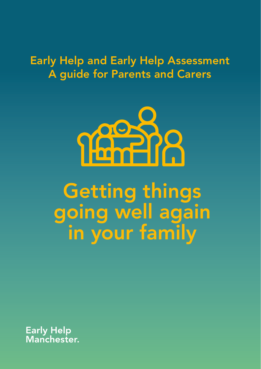# Early Help and Early Help Assessment A guide for Parents and Carers



# Getting things going well again in your family

**Early Help** Manchester.